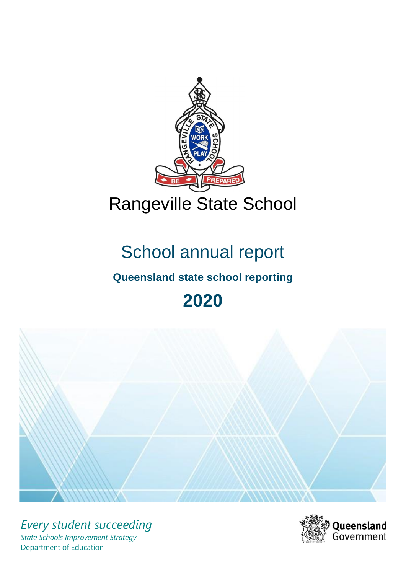

# School annual report

# **Queensland state school reporting**

# **2020**



*Every student succeeding State Schools Improvement Strategy* Department of Education

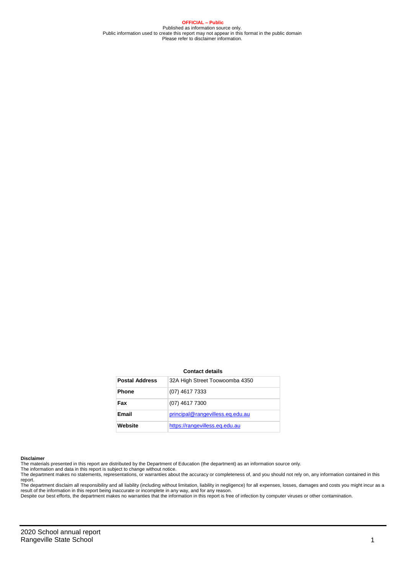**OFFICIAL – Public** Published as information source only. Public information used to create this report may not appear in this format in the public domain Please refer to disclaimer information.

#### **Contact details**

| <b>Postal Address</b> | 32A High Street Toowoomba 4350   |
|-----------------------|----------------------------------|
| <b>Phone</b>          | (07) 4617 7333                   |
| Fax                   | (07) 4617 7300                   |
| Email                 | principal@rangevilless.eq.edu.au |
| Website               | https://rangevilless.eg.edu.au   |

#### **Disclaimer**

The materials presented in this report are distributed by the Department of Education (the department) as an information source only. The information and data in this report is subject to change without notice.

The department makes no statements, representations, or warranties about the accuracy or completeness of, and you should not rely on, any information contained in this report.

The department disclaim all responsibility and all liability (including without limitation, liability in negligence) for all expenses, losses, damages and costs you might incur as a<br>result of the information in this report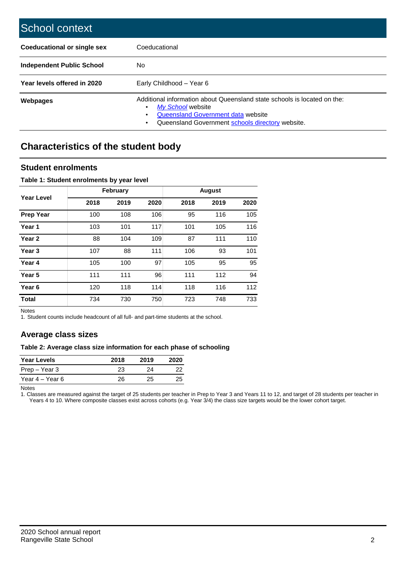| School context                   |                                                                                                                                                                                         |
|----------------------------------|-----------------------------------------------------------------------------------------------------------------------------------------------------------------------------------------|
| Coeducational or single sex      | Coeducational                                                                                                                                                                           |
| <b>Independent Public School</b> | No                                                                                                                                                                                      |
| Year levels offered in 2020      | Early Childhood - Year 6                                                                                                                                                                |
| <b>Webpages</b>                  | Additional information about Queensland state schools is located on the:<br>My School website<br>Queensland Government data website<br>Queensland Government schools directory website. |

# **Characteristics of the student body**

### **Student enrolments**

### **Table 1: Student enrolments by year level**

|                   |      | February |      |      | <b>August</b> |      |
|-------------------|------|----------|------|------|---------------|------|
| Year Level        | 2018 | 2019     | 2020 | 2018 | 2019          | 2020 |
| <b>Prep Year</b>  | 100  | 108      | 106  | 95   | 116           | 105  |
| Year 1            | 103  | 101      | 117  | 101  | 105           | 116  |
| Year <sub>2</sub> | 88   | 104      | 109  | 87   | 111           | 110  |
| Year 3            | 107  | 88       | 111  | 106  | 93            | 101  |
| Year 4            | 105  | 100      | 97   | 105  | 95            | 95   |
| Year 5            | 111  | 111      | 96   | 111  | 112           | 94   |
| Year <sub>6</sub> | 120  | 118      | 114  | 118  | 116           | 112  |
| <b>Total</b>      | 734  | 730      | 750  | 723  | 748           | 733  |

Notes

1. Student counts include headcount of all full- and part-time students at the school.

### **Average class sizes**

### **Table 2: Average class size information for each phase of schooling**

| <b>Year Levels</b> | 2018 | 2019 | 2020 |
|--------------------|------|------|------|
| Prep – Year 3      | 23   | 24   | フフ   |
| Year 4 – Year 6    | 26   | 25   | 25   |

Notes

1. Classes are measured against the target of 25 students per teacher in Prep to Year 3 and Years 11 to 12, and target of 28 students per teacher in Years 4 to 10. Where composite classes exist across cohorts (e.g. Year 3/4) the class size targets would be the lower cohort target.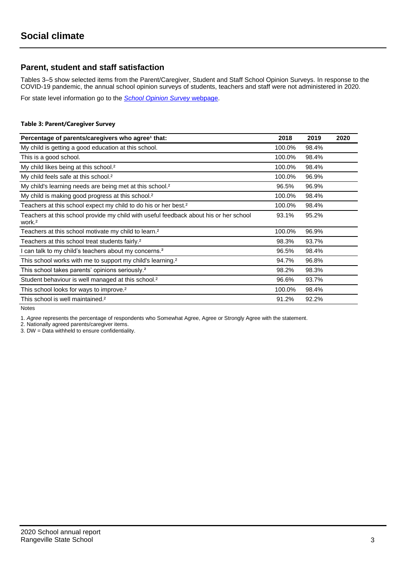### **Parent, student and staff satisfaction**

Tables 3–5 show selected items from the Parent/Caregiver, Student and Staff School Opinion Surveys. In response to the COVID-19 pandemic, the annual school opinion surveys of students, teachers and staff were not administered in 2020.

For state level information go to the *[School Opinion Survey](https://qed.qld.gov.au/publications/reports/statistics/schooling/schools/schoolopinionsurvey)* [webpage.](https://qed.qld.gov.au/publications/reports/statistics/schooling/schools/schoolopinionsurvey)

### **Table 3: Parent/Caregiver Survey**

| Percentage of parents/caregivers who agree <sup>1</sup> that:                                               | 2018   | 2019  | 2020 |
|-------------------------------------------------------------------------------------------------------------|--------|-------|------|
| My child is getting a good education at this school.                                                        | 100.0% | 98.4% |      |
| This is a good school.                                                                                      | 100.0% | 98.4% |      |
| My child likes being at this school. <sup>2</sup>                                                           | 100.0% | 98.4% |      |
| My child feels safe at this school. <sup>2</sup>                                                            | 100.0% | 96.9% |      |
| My child's learning needs are being met at this school. <sup>2</sup>                                        | 96.5%  | 96.9% |      |
| My child is making good progress at this school. <sup>2</sup>                                               | 100.0% | 98.4% |      |
| Teachers at this school expect my child to do his or her best. <sup>2</sup>                                 | 100.0% | 98.4% |      |
| Teachers at this school provide my child with useful feedback about his or her school<br>work. <sup>2</sup> | 93.1%  | 95.2% |      |
| Teachers at this school motivate my child to learn. <sup>2</sup>                                            | 100.0% | 96.9% |      |
| Teachers at this school treat students fairly. <sup>2</sup>                                                 | 98.3%  | 93.7% |      |
| I can talk to my child's teachers about my concerns. <sup>2</sup>                                           | 96.5%  | 98.4% |      |
| This school works with me to support my child's learning. <sup>2</sup>                                      | 94.7%  | 96.8% |      |
| This school takes parents' opinions seriously. <sup>2</sup>                                                 | 98.2%  | 98.3% |      |
| Student behaviour is well managed at this school. <sup>2</sup>                                              | 96.6%  | 93.7% |      |
| This school looks for ways to improve. <sup>2</sup>                                                         | 100.0% | 98.4% |      |
| This school is well maintained. <sup>2</sup>                                                                | 91.2%  | 92.2% |      |

Notes

1. *Agree* represents the percentage of respondents who Somewhat Agree, Agree or Strongly Agree with the statement.

2. Nationally agreed parents/caregiver items.

3. DW = Data withheld to ensure confidentiality.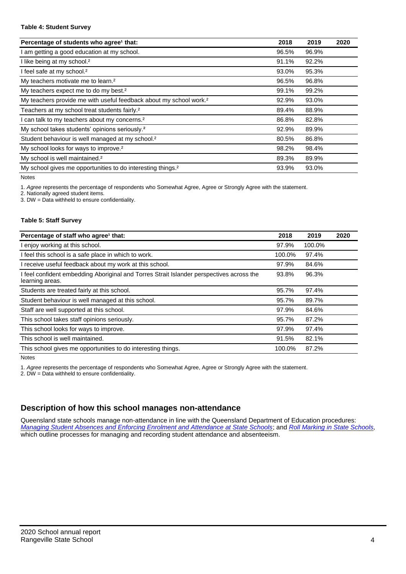### **Table 4: Student Survey**

| Percentage of students who agree <sup>1</sup> that:                            | 2018  | 2019  | 2020 |
|--------------------------------------------------------------------------------|-------|-------|------|
| am getting a good education at my school.                                      | 96.5% | 96.9% |      |
| I like being at my school. <sup>2</sup>                                        | 91.1% | 92.2% |      |
| I feel safe at my school. <sup>2</sup>                                         | 93.0% | 95.3% |      |
| My teachers motivate me to learn. <sup>2</sup>                                 | 96.5% | 96.8% |      |
| My teachers expect me to do my best. <sup>2</sup>                              | 99.1% | 99.2% |      |
| My teachers provide me with useful feedback about my school work. <sup>2</sup> | 92.9% | 93.0% |      |
| Teachers at my school treat students fairly. <sup>2</sup>                      | 89.4% | 88.9% |      |
| can talk to my teachers about my concerns. <sup>2</sup>                        | 86.8% | 82.8% |      |
| My school takes students' opinions seriously. <sup>2</sup>                     | 92.9% | 89.9% |      |
| Student behaviour is well managed at my school. <sup>2</sup>                   | 80.5% | 86.8% |      |
| My school looks for ways to improve. <sup>2</sup>                              | 98.2% | 98.4% |      |
| My school is well maintained. <sup>2</sup>                                     | 89.3% | 89.9% |      |
| My school gives me opportunities to do interesting things. <sup>2</sup>        | 93.9% | 93.0% |      |

Notes

1. *Agree* represents the percentage of respondents who Somewhat Agree, Agree or Strongly Agree with the statement.

2. Nationally agreed student items.

3. DW = Data withheld to ensure confidentiality.

### **Table 5: Staff Survey**

| Percentage of staff who agree <sup>1</sup> that:                                                            | 2018   | 2019   | 2020 |
|-------------------------------------------------------------------------------------------------------------|--------|--------|------|
| I enjoy working at this school.                                                                             | 97.9%  | 100.0% |      |
| I feel this school is a safe place in which to work.                                                        | 100.0% | 97.4%  |      |
| I receive useful feedback about my work at this school.                                                     | 97.9%  | 84.6%  |      |
| I feel confident embedding Aboriginal and Torres Strait Islander perspectives across the<br>learning areas. | 93.8%  | 96.3%  |      |
| Students are treated fairly at this school.                                                                 | 95.7%  | 97.4%  |      |
| Student behaviour is well managed at this school.                                                           | 95.7%  | 89.7%  |      |
| Staff are well supported at this school.                                                                    | 97.9%  | 84.6%  |      |
| This school takes staff opinions seriously.                                                                 | 95.7%  | 87.2%  |      |
| This school looks for ways to improve.                                                                      | 97.9%  | 97.4%  |      |
| This school is well maintained.                                                                             | 91.5%  | 82.1%  |      |
| This school gives me opportunities to do interesting things.                                                | 100.0% | 87.2%  |      |

Notes

1. *Agree* represents the percentage of respondents who Somewhat Agree, Agree or Strongly Agree with the statement.

2. DW = Data withheld to ensure confidentiality.

## **Description of how this school manages non-attendance**

Queensland state schools manage non-attendance in line with the Queensland Department of Education procedures: *[Managing Student Absences and Enforcing Enrolment and Attendance at State Schools](https://ppr.qed.qld.gov.au/pp/managing-student-absences-and-enforcing-enrolment-and-attendance-at-state-schools-procedure)*; and *[Roll Marking in State Schools,](https://ppr.qed.qld.gov.au/pp/roll-marking-in-state-schools-procedure)* which outline processes for managing and recording student attendance and absenteeism.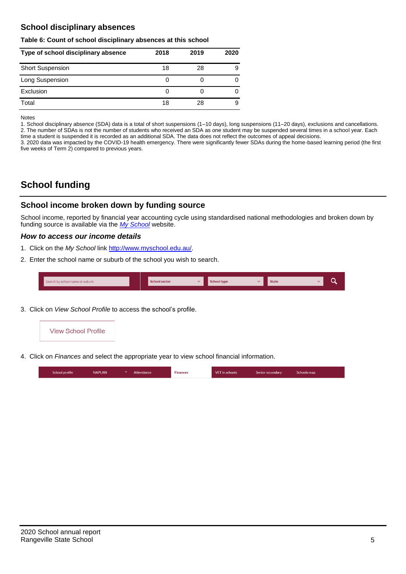## **School disciplinary absences**

### **Table 6: Count of school disciplinary absences at this school**

| Type of school disciplinary absence | 2018 | 2019 | 2020 |
|-------------------------------------|------|------|------|
| <b>Short Suspension</b>             | 18   | 28   | 9    |
| Long Suspension                     | 0    |      |      |
| Exclusion                           | O    |      |      |
| Total                               | 18   | 28   | 9    |

Notes

1. School disciplinary absence (SDA) data is a total of short suspensions (1–10 days), long suspensions (11–20 days), exclusions and cancellations. 2. The number of SDAs is not the number of students who received an SDA as one student may be suspended several times in a school year. Each time a student is suspended it is recorded as an additional SDA. The data does not reflect the outcomes of appeal decisions.

3. 2020 data was impacted by the COVID-19 health emergency. There were significantly fewer SDAs during the home-based learning period (the first five weeks of Term 2) compared to previous years.

# **School funding**

### **School income broken down by funding source**

School income, reported by financial year accounting cycle using standardised national methodologies and broken down by funding source is available via the *[My School](http://www.myschool.edu.au/)* website.

### *How to access our income details*

- 1. Click on the *My School* link [http://www.myschool.edu.au/.](http://www.myschool.edu.au/)
- 2. Enter the school name or suburb of the school you wish to search.

| Search by school name or suburb | <b>School sector</b> | <b>School type</b><br>447 | <b>State</b> | ∽ |
|---------------------------------|----------------------|---------------------------|--------------|---|
|                                 |                      |                           |              |   |

3. Click on *View School Profile* to access the school's profile.



4. Click on *Finances* and select the appropriate year to view school financial information.

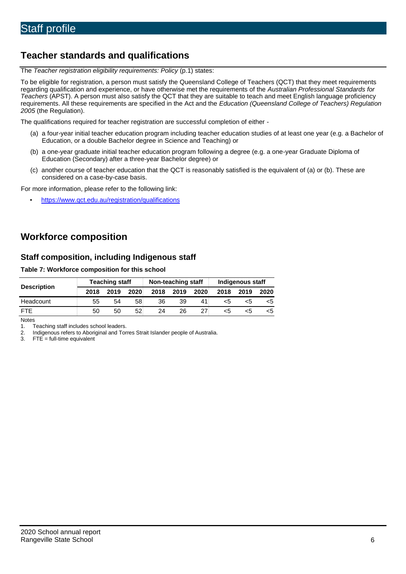# **Teacher standards and qualifications**

The *Teacher registration eligibility requirements: Policy* (p.1) states:

To be eligible for registration, a person must satisfy the Queensland College of Teachers (QCT) that they meet requirements regarding qualification and experience, or have otherwise met the requirements of the *Australian Professional Standards for Teachers* (APST). A person must also satisfy the QCT that they are suitable to teach and meet English language proficiency requirements. All these requirements are specified in the Act and the *Education (Queensland College of Teachers) Regulation 2005* (the Regulation).

The qualifications required for teacher registration are successful completion of either -

- (a) a four-year initial teacher education program including teacher education studies of at least one year (e.g. a Bachelor of Education, or a double Bachelor degree in Science and Teaching) or
- (b) a one-year graduate initial teacher education program following a degree (e.g. a one-year Graduate Diploma of Education (Secondary) after a three-year Bachelor degree) or
- (c) another course of teacher education that the QCT is reasonably satisfied is the equivalent of (a) or (b). These are considered on a case-by-case basis.

For more information, please refer to the following link:

• <https://www.qct.edu.au/registration/qualifications>

# **Workforce composition**

### **Staff composition, including Indigenous staff**

### **Table 7: Workforce composition for this school**

|                    | <b>Teaching staff</b> |      |      | Non-teaching staff |      |      | Indigenous staff |      |      |
|--------------------|-----------------------|------|------|--------------------|------|------|------------------|------|------|
| <b>Description</b> | 2018                  | 2019 | 2020 | 2018               | 2019 | 2020 | 2018             | 2019 | 2020 |
| Headcount          | 55                    | 54   | 58   | 36                 | 39   | 41   | <5               |      |      |
| <b>FTF</b>         | 50                    | 50   | 52   | 24                 | 26   | 27   | <5               | כ:>  |      |

Notes

1. Teaching staff includes school leaders.<br>2. Indigenous refers to Aboriginal and Tor

2. Indigenous refers to Aboriginal and Torres Strait Islander people of Australia.<br>3. FTE = full-time equivalent

 $FTE = full-time equivalent$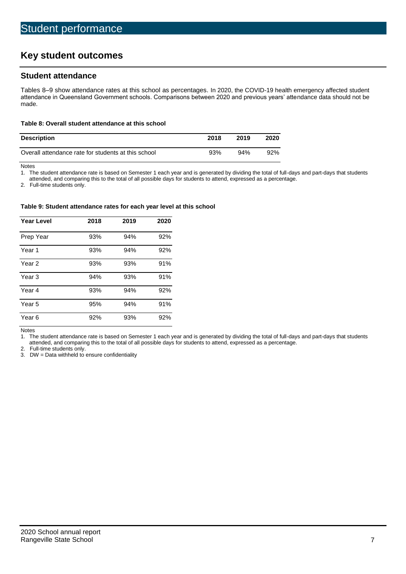# **Key student outcomes**

### **Student attendance**

Tables 8–9 show attendance rates at this school as percentages. In 2020, the COVID-19 health emergency affected student attendance in Queensland Government schools. Comparisons between 2020 and previous years' attendance data should not be made.

### **Table 8: Overall student attendance at this school**

| <b>Description</b>                                  | 2018 | 2019 | 2020 |
|-----------------------------------------------------|------|------|------|
| Overall attendance rate for students at this school | 93%  | 94%  | 92%  |

Notes<br>1. Th

The student attendance rate is based on Semester 1 each year and is generated by dividing the total of full-days and part-days that students

attended, and comparing this to the total of all possible days for students to attend, expressed as a percentage.

2. Full-time students only.

#### **Table 9: Student attendance rates for each year level at this school**

| <b>Year Level</b> | 2018 | 2019 | 2020 |
|-------------------|------|------|------|
| Prep Year         | 93%  | 94%  | 92%  |
| Year <sub>1</sub> | 93%  | 94%  | 92%  |
| Year 2            | 93%  | 93%  | 91%  |
| Year <sub>3</sub> | 94%  | 93%  | 91%  |
| Year 4            | 93%  | 94%  | 92%  |
| Year 5            | 95%  | 94%  | 91%  |
| Year <sub>6</sub> | 92%  | 93%  | 92%  |

Notes

1. The student attendance rate is based on Semester 1 each year and is generated by dividing the total of full-days and part-days that students attended, and comparing this to the total of all possible days for students to attend, expressed as a percentage.

2. Full-time students only.<br>3. DW = Data withheld to

 $DW = Data$  withheld to ensure confidentiality